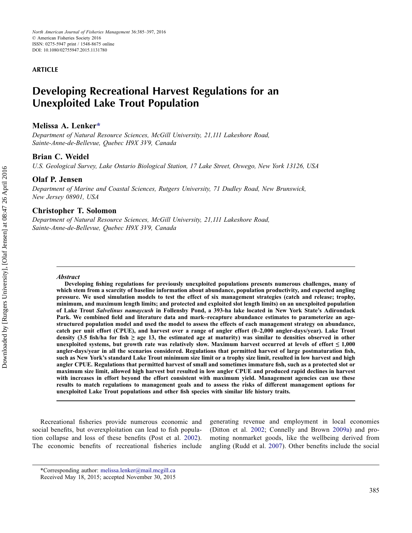## ARTICLE

# Developing Recreational Harvest Regulations for an Unexploited Lake Trout Population

## Melissa A. Lenker[\\*](#page-0-0)

Department of Natural Resource Sciences, McGill University, 21,111 Lakeshore Road, Sainte-Anne-de-Bellevue, Quebec H9X 3V9, Canada

## Brian C. Weidel

U.S. Geological Survey, Lake Ontario Biological Station, 17 Lake Street, Oswego, New York 13126, USA

## Olaf P. Jensen

Department of Marine and Coastal Sciences, Rutgers University, 71 Dudley Road, New Brunswick, New Jersey 08901, USA

## Christopher T. Solomon

Department of Natural Resource Sciences, McGill University, 21,111 Lakeshore Road, Sainte-Anne-de-Bellevue, Quebec H9X 3V9, Canada

#### Abstract

Developing fishing regulations for previously unexploited populations presents numerous challenges, many of which stem from a scarcity of baseline information about abundance, population productivity, and expected angling pressure. We used simulation models to test the effect of six management strategies (catch and release; trophy, minimum, and maximum length limits; and protected and exploited slot length limits) on an unexploited population of Lake Trout Salvelinus namaycush in Follensby Pond, a 393-ha lake located in New York State's Adirondack Park. We combined field and literature data and mark–recapture abundance estimates to parameterize an agestructured population model and used the model to assess the effects of each management strategy on abundance, catch per unit effort (CPUE), and harvest over a range of angler effort (0–2,000 angler-days/year). Lake Trout density (3.5 fish/ha for fish  $\ge$  age 13, the estimated age at maturity) was similar to densities observed in other unexploited systems, but growth rate was relatively slow. Maximum harvest occurred at levels of effort  $\leq 1,000$ angler-days/year in all the scenarios considered. Regulations that permitted harvest of large postmaturation fish, such as New York's standard Lake Trout minimum size limit or a trophy size limit, resulted in low harvest and high angler CPUE. Regulations that permitted harvest of small and sometimes immature fish, such as a protected slot or maximum size limit, allowed high harvest but resulted in low angler CPUE and produced rapid declines in harvest with increases in effort beyond the effort consistent with maximum yield. Management agencies can use these results to match regulations to management goals and to assess the risks of different management options for unexploited Lake Trout populations and other fish species with similar life history traits.

Recreational fisheries provide numerous economic and social benefits, but overexploitation can lead to fish population collapse and loss of these benefits (Post et al. [2002](#page-12-0)). The economic benefits of recreational fisheries include generating revenue and employment in local economies (Ditton et al. [2002](#page-11-0); Connelly and Brown [2009a\)](#page-11-1) and promoting nonmarket goods, like the wellbeing derived from angling (Rudd et al. [2007\)](#page-12-1). Other benefits include the social

<span id="page-0-0"></span><sup>\*</sup>Corresponding author: melissa.lenker@mail.mcgill.ca

Received May 18, 2015; accepted November 30, 2015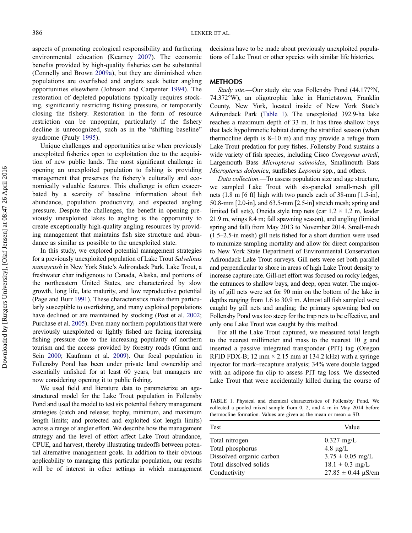aspects of promoting ecological responsibility and furthering environmental education (Kearney [2007](#page-11-2)). The economic benefits provided by high-quality fisheries can be substantial (Connelly and Brown [2009a](#page-11-1)), but they are diminished when populations are overfished and anglers seek better angling opportunities elsewhere (Johnson and Carpenter [1994](#page-11-3)). The restoration of depleted populations typically requires stocking, significantly restricting fishing pressure, or temporarily closing the fishery. Restoration in the form of resource restriction can be unpopular, particularly if the fishery decline is unrecognized, such as in the "shifting baseline" syndrome (Pauly [1995\)](#page-12-2).

Unique challenges and opportunities arise when previously unexploited fisheries open to exploitation due to the acquisition of new public lands. The most significant challenge in opening an unexploited population to fishing is providing management that preserves the fishery's culturally and economically valuable features. This challenge is often exacerbated by a scarcity of baseline information about fish abundance, population productivity, and expected angling pressure. Despite the challenges, the benefit in opening previously unexploited lakes to angling is the opportunity to create exceptionally high-quality angling resources by providing management that maintains fish size structure and abundance as similar as possible to the unexploited state.

In this study, we explored potential management strategies for a previously unexploited population of Lake Trout Salvelinus namaycush in New York State's Adirondack Park. Lake Trout, a freshwater char indigenous to Canada, Alaska, and portions of the northeastern United States, are characterized by slow growth, long life, late maturity, and low reproductive potential (Page and Burr [1991](#page-12-3)). These characteristics make them particularly susceptible to overfishing, and many exploited populations have declined or are maintained by stocking (Post et al. [2002](#page-12-0); Purchase et al. [2005](#page-12-4)). Even many northern populations that were previously unexploited or lightly fished are facing increasing fishing pressure due to the increasing popularity of northern tourism and the access provided by forestry roads (Gunn and Sein [2000;](#page-11-4) Kaufman et al. [2009\)](#page-11-5). Our focal population in Follensby Pond has been under private land ownership and essentially unfished for at least 60 years, but managers are now considering opening it to public fishing.

We used field and literature data to parameterize an agestructured model for the Lake Trout population in Follensby Pond and used the model to test six potential fishery management strategies (catch and release; trophy, minimum, and maximum length limits; and protected and exploited slot length limits) across a range of angler effort. We describe how the management strategy and the level of effort affect Lake Trout abundance, CPUE, and harvest, thereby illustrating tradeoffs between potential alternative management goals. In addition to their obvious applicability to managing this particular population, our results will be of interest in other settings in which management decisions have to be made about previously unexploited populations of Lake Trout or other species with similar life histories.

#### METHODS

Study site.—Our study site was Follensby Pond (44.177°N, 74.372°W), an oligotrophic lake in Harrietstown, Franklin County, New York, located inside of New York State's Adirondack Park [\(Table 1](#page-1-0)). The unexploited 392.9-ha lake reaches a maximum depth of 33 m. It has three shallow bays that lack hypolimnetic habitat during the stratified season (when thermocline depth is 8–10 m) and may provide a refuge from Lake Trout predation for prey fishes. Follensby Pond sustains a wide variety of fish species, including Cisco Coregonus artedi, Largemouth Bass Micropterus salmoides, Smallmouth Bass Micropterus dolomieu, sunfishes Lepomis spp., and others.

Data collection.—To assess population size and age structure, we sampled Lake Trout with six-paneled small-mesh gill nets (1.8 m [6 ft] high with two panels each of 38-mm [1.5-in], 50.8-mm [2.0-in], and 63.5-mm [2.5-in] stretch mesh; spring and limited fall sets), Oneida style trap nets (car  $1.2 \times 1.2$  m, leader 21.9 m, wings 8.4 m; fall spawning season), and angling (limited spring and fall) from May 2013 to November 2014. Small-mesh (1.5–2.5-in mesh) gill nets fished for a short duration were used to minimize sampling mortality and allow for direct comparison to New York State Department of Environmental Conservation Adirondack Lake Trout surveys. Gill nets were set both parallel and perpendicular to shore in areas of high Lake Trout density to increase capture rate. Gill-net effort was focused on rocky ledges, the entrances to shallow bays, and deep, open water. The majority of gill nets were set for 90 min on the bottom of the lake in depths ranging from 1.6 to 30.9 m. Almost all fish sampled were caught by gill nets and angling; the primary spawning bed on Follensby Pond was too steep for the trap nets to be effective, and only one Lake Trout was caught by this method.

For all the Lake Trout captured, we measured total length to the nearest millimeter and mass to the nearest 10 g and inserted a passive integrated transponder (PIT) tag (Oregon RFID FDX-B; 12 mm  $\times$  2.15 mm at 134.2 kHz) with a syringe injector for mark–recapture analysis; 34% were double tagged with an adipose fin clip to assess PIT tag loss. We dissected Lake Trout that were accidentally killed during the course of

<span id="page-1-0"></span>TABLE 1. Physical and chemical characteristics of Follensby Pond. We collected a pooled mixed sample from 0, 2, and 4 m in May 2014 before thermocline formation. Values are given as the mean or mean  $\pm$  SD.

| <b>Test</b>              | Value                                   |
|--------------------------|-----------------------------------------|
| Total nitrogen           | $0.327 \text{ mg/L}$                    |
| Total phosphorus         | 4.8 $\mu$ g/L                           |
| Dissolved organic carbon | $3.75 \pm 0.05$ mg/L                    |
| Total dissolved solids   | $18.1 \pm 0.3$ mg/L                     |
| Conductivity             | $27.85 \pm 0.44 \text{ }\mu\text{S/cm}$ |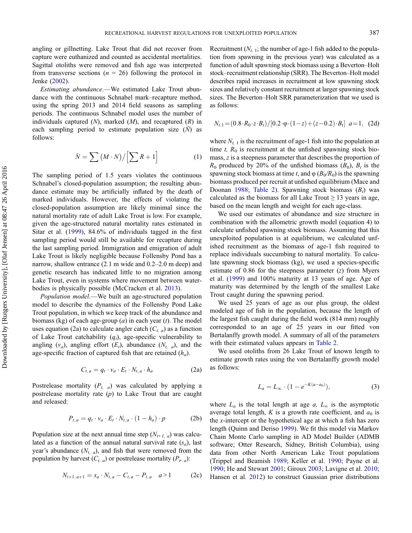angling or gillnetting. Lake Trout that did not recover from capture were euthanized and counted as accidental mortalities. Sagittal otoliths were removed and fish age was interpreted from transverse sections ( $n = 26$ ) following the protocol in Jenke [\(2002](#page-11-6)).

Estimating abundance.—We estimated Lake Trout abundance with the continuous Schnabel mark–recapture method, using the spring 2013 and 2014 field seasons as sampling periods. The continuous Schnabel model uses the number of individuals captured  $(N)$ , marked  $(M)$ , and recaptured  $(R)$  in each sampling period to estimate population size  $(N)$  as follows:

$$
\check{N} = \sum (M \cdot N) / \Big[ \sum R + 1 \Big] \tag{1}
$$

The sampling period of 1.5 years violates the continuous Schnabel's closed-population assumption; the resulting abundance estimate may be artificially inflated by the death of marked individuals. However, the effects of violating the closed-population assumption are likely minimal since the natural mortality rate of adult Lake Trout is low. For example, given the age-structured natural mortality rates estimated in Sitar et al. [\(1999](#page-12-5)), 84.6% of individuals tagged in the first sampling period would still be available for recapture during the last sampling period. Immigration and emigration of adult Lake Trout is likely negligible because Follensby Pond has a narrow, shallow entrance (2.1 m wide and 0.2–2.0 m deep) and genetic research has indicated little to no migration among Lake Trout, even in systems where movement between waterbodies is physically possible (McCracken et al. [2013\)](#page-12-6).

Population model.—We built an age-structured population model to describe the dynamics of the Follensby Pond Lake Trout population, in which we keep track of the abundance and biomass (kg) of each age-group  $(a)$  in each year  $(t)$ . The model uses equation (2a) to calculate angler catch  $(C_{t, a})$  as a function of Lake Trout catchability  $(q_t)$ , age-specific vulnerability to angling  $(v_a)$ , angling effort  $(E_t)$ , abundance  $(N_t, a)$ , and the age-specific fraction of captured fish that are retained  $(h_a)$ .

$$
C_{t,a} = q_t \cdot v_a \cdot E_t \cdot N_{t,a} \cdot h_a \tag{2a}
$$

Postrelease mortality  $(P_{t, a})$  was calculated by applying a postrelease mortality rate  $(p)$  to Lake Trout that are caught and released:

$$
P_{t,a} = q_t \cdot v_a \cdot E_t \cdot N_{t,a} \cdot (1 - h_a) \cdot p \tag{2b}
$$

Population size at the next annual time step  $(N_{t+1, a})$  was calculated as a function of the annual natural survival rate  $(s_a)$ , last year's abundance  $(N_{t, a})$ , and fish that were removed from the population by harvest  $(C_{t, a})$  or postrelease mortality  $(P_{t, a})$ :

$$
N_{t+1, a+1} = s_a \cdot N_{t, a} - C_{t, a} - P_{t, a} \quad a > 1 \tag{2c}
$$

Recruitment  $(N_{t-1})$ ; the number of age-1 fish added to the population from spawning in the previous year) was calculated as a function of adult spawning stock biomass using a Beverton–Holt stock–recruitment relationship (SRR). The Beverton–Holt model describes rapid increases in recruitment at low spawning stock sizes and relatively constant recruitment at larger spawning stock sizes. The Beverton–Holt SRR parameterization that we used is as follows:

$$
N_{t,1} = (0.8 \cdot R_0 \cdot z \cdot B_t) / [0.2 \cdot \varphi \cdot (1 - z) + (z - 0.2) \cdot B_t] \quad a = 1, \tag{2d}
$$

where  $N_{t-1}$  is the recruitment of age-1 fish into the population at time t,  $R_0$  is recruitment at the unfished spawning stock biomass, z is a steepness parameter that describes the proportion of  $R_0$  produced by 20% of the unfished biomass  $(B_0)$ ,  $B_t$  is the spawning stock biomass at time t, and  $\varphi$  ( $B_0/R_0$ ) is the spawning biomass produced per recruit at unfished equilibrium (Mace and Doonan [1988;](#page-11-7) [Table 2\)](#page-3-0). Spawning stock biomass  $(B_t)$  was calculated as the biomass for all Lake Trout  $\geq 13$  years in age, based on the mean length and weight for each age-class.

We used our estimates of abundance and size structure in combination with the allometric growth model (equation 4) to calculate unfished spawning stock biomass. Assuming that this unexploited population is at equilibrium, we calculated unfished recruitment as the biomass of age-1 fish required to replace individuals succumbing to natural mortality. To calculate spawning stock biomass (kg), we used a species-specific estimate of  $0.86$  for the steepness parameter  $(z)$  from Myers et al. [\(1999](#page-12-7)) and 100% maturity at 13 years of age. Age of maturity was determined by the length of the smallest Lake Trout caught during the spawning period.

We used 25 years of age as our plus group, the oldest modeled age of fish in the population, because the length of the largest fish caught during the field work (814 mm) roughly corresponded to an age of 25 years in our fitted von Bertalanffy growth model. A summary of all of the parameters with their estimated values appears in [Table 2.](#page-3-0)

We used otoliths from 26 Lake Trout of known length to estimate growth rates using the von Bertalanffy growth model as follows:

$$
L_a = L_{\infty} \cdot (1 - e^{-K(a - a_0)}), \tag{3}
$$

where  $L_a$  is the total length at age a,  $L_\infty$  is the asymptotic average total length,  $K$  is a growth rate coefficient, and  $a_0$  is the x-intercept or the hypothetical age at which a fish has zero length (Quinn and Deriso [1999](#page-12-8)). We fit this model via Markov Chain Monte Carlo sampling in AD Model Builder (ADMB software; Otter Research, Sidney, British Columbia), using data from other North American Lake Trout populations (Trippel and Beamish [1989](#page-12-9); Keller et al. [1990](#page-11-8); Payne et al. [1990;](#page-12-10) He and Stewart [2001;](#page-11-9) Giroux [2003](#page-11-10); Lavigne et al. [2010](#page-11-11); Hansen et al. [2012\)](#page-11-12) to construct Gaussian prior distributions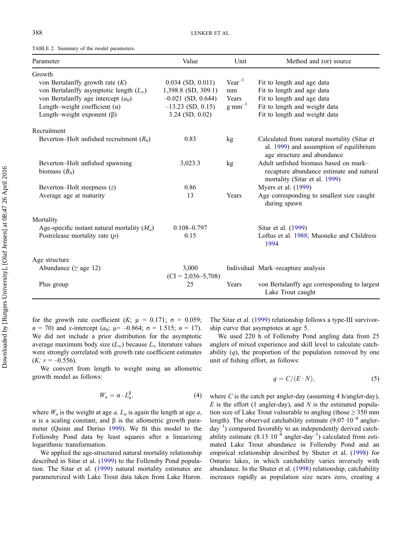<span id="page-3-0"></span>

|  |  | TABLE 2. Summary of the model parameters. |
|--|--|-------------------------------------------|
|  |  |                                           |

| Parameter                                          | Value                         | Unit                      | Method and (or) source                                                                                                |
|----------------------------------------------------|-------------------------------|---------------------------|-----------------------------------------------------------------------------------------------------------------------|
| Growth                                             |                               |                           |                                                                                                                       |
| von Bertalanffy growth rate $(K)$                  | $0.034$ (SD, $0.011$ )        | $Year^{-1}$               | Fit to length and age data                                                                                            |
| von Bertalanffy asymptotic length $(L_{\infty})$   | 1,398.8 (SD, 309.1)           | mm                        | Fit to length and age data                                                                                            |
| von Bertalanffy age intercept $(a_0)$              | $-0.021$ (SD, 0.644)          | Years                     | Fit to length and age data                                                                                            |
| Length–weight coefficient $(\alpha)$               | $-13.23$ (SD, 0.15)           | $\mathrm{g\cdot mm}^{-1}$ | Fit to length and weight data                                                                                         |
| Length–weight exponent $(\beta)$                   | $3.24$ (SD, 0.02)             |                           | Fit to length and weight data                                                                                         |
| Recruitment                                        |                               |                           |                                                                                                                       |
| Beverton–Holt unfished recruitment $(R_0)$         | 0.83                          | kg                        | Calculated from natural mortality (Sitar et<br>al. 1999) and assumption of equilibrium<br>age structure and abundance |
| Beverton-Holt unfished spawning<br>biomass $(B_0)$ | 3,023.3                       | kg                        | Adult unfished biomass based on mark-<br>recapture abundance estimate and natural<br>mortality (Sitar et al. 1999)    |
| Beverton-Holt steepness $(z)$                      | 0.86                          |                           | Myers et al. (1999)                                                                                                   |
| Average age at maturity                            | 13                            | Years                     | Age corresponding to smallest size caught<br>during spawn                                                             |
| Mortality                                          |                               |                           |                                                                                                                       |
| Age-specific instant natural mortality $(M_a)$     | $0.108 - 0.797$               |                           | Sitar et al. (1999)                                                                                                   |
| Postrelease mortality rate $(p)$                   | 0.15                          |                           | Loftus et al. 1988; Muoneke and Childress<br>1994                                                                     |
| Age structure                                      |                               |                           |                                                                                                                       |
| Abundance ( $\geq$ age 12)                         | 3,000<br>$(CI = 2,036-5,708)$ |                           | Individual Mark-recapture analysis                                                                                    |
| Plus group                                         | 25                            | Years                     | von Bertalanffy age corresponding to largest<br>Lake Trout caught                                                     |

for the growth rate coefficient (K;  $\mu = 0.171$ ;  $\sigma = 0.059$ ;  $n = 70$ ) and x-intercept ( $a_0$ ;  $\mu = -0.864$ ;  $\sigma = 1.515$ ;  $n = 17$ ). We did not include a prior distribution for the asymptotic average maximum body size ( $L_{\infty}$ ) because  $L_{\infty}$  literature values were strongly correlated with growth rate coefficient estimates  $(K: r = -0.556)$ .

We convert from length to weight using an allometric growth model as follows:

$$
W_a = \alpha \cdot L^{\beta}_{\alpha}, \qquad (4)
$$

where  $W_a$  is the weight at age a,  $L_a$  is again the length at age a, α is a scaling constant, and β is the allometric growth parameter (Quinn and Deriso [1999](#page-12-8)). We fit this model to the Follensby Pond data by least squares after a linearizing logarithmic transformation.

We applied the age-structured natural mortality relationship described in Sitar et al. ([1999\)](#page-12-5) to the Follensby Pond population. The Sitar et al. [\(1999](#page-12-5)) natural mortality estimates are parameterized with Lake Trout data taken from Lake Huron.

The Sitar et al. ([1999\)](#page-12-5) relationship follows a type-III survivorship curve that asymptotes at age 5.

We used 220 h of Follensby Pond angling data from 25 anglers of mixed experience and skill level to calculate catchability  $(q)$ , the proportion of the population removed by one unit of fishing effort, as follows:

$$
q = C/(E \cdot N),\tag{5}
$$

where  $C$  is the catch per angler-day (assuming 4 h/angler-day),  $E$  is the effort (1 angler-day), and  $N$  is the estimated population size of Lake Trout vulnerable to angling (those  $\geq$  350 mm length). The observed catchability estimate  $(9.07 \cdot 10^{-4}$  anglerday<sup>-1</sup>) compared favorably to an independently derived catchability estimate  $(8.13 \cdot 10^{-4} \text{ angular-day}^{-1})$  calculated from estimated Lake Trout abundance in Follensby Pond and an empirical relationship described by Shuter et al. [\(1998](#page-12-11)) for Ontario lakes, in which catchability varies inversely with abundance. In the Shuter et al. [\(1998](#page-12-11)) relationship, catchability increases rapidly as population size nears zero, creating a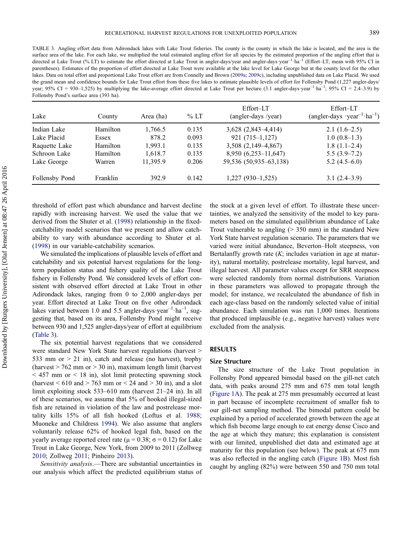<span id="page-4-0"></span>TABLE 3. Angling effort data from Adirondack lakes with Lake Trout fisheries. The county is the county in which the lake is located, and the area is the surface area of the lake. For each lake, we multiplied the total estimated angling effort for all species by the estimated proportion of the angling effort that is directed at Lake Trout (% LT) to estimate the effort directed at Lake Trout in angler-days/year and angler-days·year<sup>-1</sup>·ha<sup>-1</sup> (Effort–LT; mean with 95% CI in parentheses). Estimates of the proportion of effort directed at Lake Trout were available at the lake level for Lake George but at the county level for the other lakes. Data on total effort and proportional Lake Trout effort are from Connelly and Brown [\(2009a](#page-11-1); [2009c\)](#page-11-14), including unpublished data on Lake Placid. We used the grand mean and confidence bounds for Lake Trout effort from these five lakes to estimate plausible levels of effort for Follensby Pond (1,227 angler-days/ year; 95% CI = 930–1,525) by multiplying the lake-average effort directed at Lake Trout per hectare (3.1 angler-days year<sup>-1</sup>·ha<sup>-1</sup>; 95% CI = 2.4–3.9) by Follensby Pond's surface area (393 ha).

| Lake           | County          | Area (ha) | $% \mathrm{LT}$ | Effort-LT<br>(angler-days /year) | Effort-LT<br>$(\text{angler-days } \text{ 'year}^{-1} \cdot \text{ha}^{-1})$ |
|----------------|-----------------|-----------|-----------------|----------------------------------|------------------------------------------------------------------------------|
| Indian Lake    | <b>Hamilton</b> | 1,766.5   | 0.135           | $3,628$ $(2,843-4,414)$          | $2.1(1.6-2.5)$                                                               |
| Lake Placid    | Essex           | 878.2     | 0.093           | $921(715-1,127)$                 | $1.0(0.8-1.3)$                                                               |
| Raquette Lake  | Hamilton        | 1.993.1   | 0.135           | $3,508$ $(2,149-4,867)$          | $1.8(1.1-2.4)$                                                               |
| Schroon Lake   | <b>Hamilton</b> | 1,618.7   | 0.135           | 8,950 (6,253–11,647)             | $5.5(3.9-7.2)$                                                               |
| Lake George    | Warren          | 11,395.9  | 0.206           | 59,536 (50,935–63,138)           | 5.2 $(4.5-6.0)$                                                              |
| Follensby Pond | Franklin        | 392.9     | 0.142           | $1,227$ (930-1,525)              | $3.1(2.4-3.9)$                                                               |

threshold of effort past which abundance and harvest decline rapidly with increasing harvest. We used the value that we derived from the Shuter et al. [\(1998](#page-12-11)) relationship in the fixedcatchability model scenarios that we present and allow catchability to vary with abundance according to Shuter et al. [\(1998](#page-12-11)) in our variable-catchability scenarios.

We simulated the implications of plausible levels of effort and catchability and six potential harvest regulations for the longterm population status and fishery quality of the Lake Trout fishery in Follensby Pond. We considered levels of effort consistent with observed effort directed at Lake Trout in other Adirondack lakes, ranging from 0 to 2,000 angler-days per year. Effort directed at Lake Trout on five other Adirondack lakes varied between 1.0 and 5.5 angler-days year<sup>-1</sup> ha<sup>-1</sup>, suggesting that, based on its area, Follensby Pond might receive between 930 and 1,525 angler-days/year of effort at equilibrium [\(Table 3](#page-4-0)).

The six potential harvest regulations that we considered were standard New York State harvest regulations (harvest > 533 mm or  $> 21$  in), catch and release (no harvest), trophy (harvest > 762 mm or > 30 in), maximum length limit (harvest  $<$  457 mm or  $<$  18 in), slot limit protecting spawning stock (harvest  $\leq 610$  and  $> 763$  mm or  $\leq 24$  and  $> 30$  in), and a slot limit exploiting stock 533–610 mm (harvest 21–24 in). In all of these scenarios, we assume that 5% of hooked illegal-sized fish are retained in violation of the law and postrelease mortality kills 15% of all fish hooked (Loftus et al. [1988](#page-11-13); Muoneke and Childress [1994\)](#page-12-12). We also assume that anglers voluntarily release 62% of hooked legal fish, based on the yearly average reported creel rate ( $\mu$  = 0.38; σ = 0.12) for Lake Trout in Lake George, New York, from 2009 to 2011 (Zollweg [2010;](#page-12-13) Zollweg [2011](#page-12-14); Pinheiro [2013\)](#page-12-15).

Sensitivity analysis.—There are substantial uncertainties in our analysis which affect the predicted equilibrium status of the stock at a given level of effort. To illustrate these uncertainties, we analyzed the sensitivity of the model to key parameters based on the simulated equilibrium abundance of Lake Trout vulnerable to angling  $($  > 350 mm) in the standard New York State harvest regulation scenario. The parameters that we varied were initial abundance, Beverton–Holt steepness, von Bertalanffy growth rate  $(K;$  includes variation in age at maturity), natural mortality, postrelease mortality, legal harvest, and illegal harvest. All parameter values except for SRR steepness were selected randomly from normal distributions. Variation in these parameters was allowed to propagate through the model; for instance, we recalculated the abundance of fish in each age-class based on the randomly selected value of initial abundance. Each simulation was run 1,000 times. Iterations that produced implausible (e.g., negative harvest) values were excluded from the analysis.

#### RESULTS

#### Size Structure

The size structure of the Lake Trout population in Follensby Pond appeared bimodal based on the gill-net catch data, with peaks around 275 mm and 675 mm total length [\(Figure 1A](#page-5-0)). The peak at 275 mm presumably occurred at least in part because of incomplete recruitment of smaller fish to our gill-net sampling method. The bimodal pattern could be explained by a period of accelerated growth between the age at which fish become large enough to eat energy dense Cisco and the age at which they mature; this explanation is consistent with our limited, unpublished diet data and estimated age at maturity for this population (see below). The peak at 675 mm was also reflected in the angling catch ([Figure 1B\)](#page-5-0). Most fish caught by angling (82%) were between 550 and 750 mm total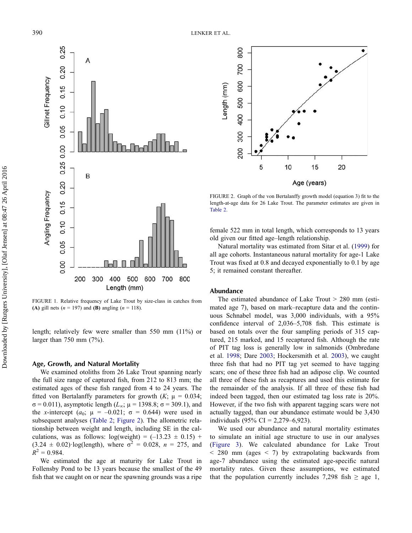

<span id="page-5-0"></span>FIGURE 1. Relative frequency of Lake Trout by size-class in catches from (A) gill nets ( $n = 197$ ) and (B) angling ( $n = 118$ ).

length; relatively few were smaller than 550 mm (11%) or larger than 750 mm (7%).

#### Age, Growth, and Natural Mortality

We examined otoliths from 26 Lake Trout spanning nearly the full size range of captured fish, from 212 to 813 mm; the estimated ages of these fish ranged from 4 to 24 years. The fitted von Bertalanffy parameters for growth  $(K; \mu = 0.034;$  $σ = 0.011$ ), asymptotic length ( $L_{∞}$ ;  $μ = 1398.8$ ;  $σ = 309.1$ ), and the x-intercept ( $a_0$ ;  $\mu$  = –0.021;  $\sigma$  = 0.644) were used in subsequent analyses ([Table 2;](#page-3-0) [Figure 2\)](#page-5-1). The allometric relationship between weight and length, including SE in the calculations, was as follows:  $log(weight) = (-13.23 \pm 0.15) +$  $(3.24 \pm 0.02)$ ·log(length), where  $\sigma^2 = 0.028$ ,  $n = 275$ , and  $R^2 = 0.984$ .

We estimated the age at maturity for Lake Trout in Follensby Pond to be 13 years because the smallest of the 49 fish that we caught on or near the spawning grounds was a ripe



<span id="page-5-1"></span>FIGURE 2. Graph of the von Bertalanffy growth model (equation 3) fit to the length-at-age data for 26 Lake Trout. The parameter estimates are given in [Table 2](#page-3-0).

female 522 mm in total length, which corresponds to 13 years old given our fitted age–length relationship.

Natural mortality was estimated from Sitar et al. [\(1999](#page-12-5)) for all age cohorts. Instantaneous natural mortality for age-1 Lake Trout was fixed at 0.8 and decayed exponentially to 0.1 by age 5; it remained constant thereafter.

#### Abundance

The estimated abundance of Lake Trout > 280 mm (estimated age 7), based on mark–recapture data and the continuous Schnabel model, was 3,000 individuals, with a 95% confidence interval of 2,036–5,708 fish. This estimate is based on totals over the four sampling periods of 315 captured, 215 marked, and 15 recaptured fish. Although the rate of PIT tag loss is generally low in salmonids (Ombredane et al. [1998](#page-12-16); Dare [2003](#page-11-15); Hockersmith et al. [2003](#page-11-16)), we caught three fish that had no PIT tag yet seemed to have tagging scars; one of these three fish had an adipose clip. We counted all three of these fish as recaptures and used this estimate for the remainder of the analysis. If all three of these fish had indeed been tagged, then our estimated tag loss rate is 20%. However, if the two fish with apparent tagging scars were not actually tagged, than our abundance estimate would be 3,430 individuals  $(95\% \text{ CI} = 2,279-6,923)$ .

We used our abundance and natural mortality estimates to simulate an initial age structure to use in our analyses [\(Figure 3](#page-6-0)). We calculated abundance for Lake Trout < 280 mm (ages < 7) by extrapolating backwards from age-7 abundance using the estimated age-specific natural mortality rates. Given these assumptions, we estimated that the population currently includes 7,298 fish  $\geq$  age 1,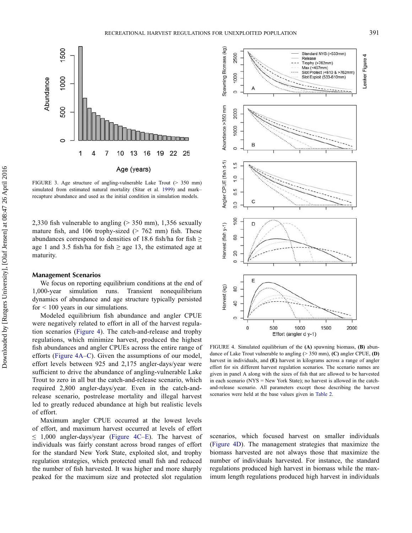

<span id="page-6-0"></span>FIGURE 3. Age structure of angling-vulnerable Lake Trout (> 350 mm) simulated from estimated natural mortality (Sitar et al. [1999](#page-12-5)) and mark– recapture abundance and used as the initial condition in simulation models.

2,330 fish vulnerable to angling  $(> 350$  mm), 1,356 sexually mature fish, and 106 trophy-sized  $(> 762 \text{ mm})$  fish. These abundances correspond to densities of 18.6 fish/ha for fish  $\geq$ age 1 and 3.5 fish/ha for fish  $\geq$  age 13, the estimated age at maturity.

#### Management Scenarios

We focus on reporting equilibrium conditions at the end of 1,000-year simulation runs. Transient nonequilibrium dynamics of abundance and age structure typically persisted for  $\leq 100$  years in our simulations.

Modeled equilibrium fish abundance and angler CPUE were negatively related to effort in all of the harvest regulation scenarios [\(Figure 4](#page-6-1)). The catch-and-release and trophy regulations, which minimize harvest, produced the highest fish abundances and angler CPUEs across the entire range of efforts [\(Figure 4A](#page-6-1)–[C\)](#page-6-1). Given the assumptions of our model, effort levels between 925 and 2,175 angler-days/year were sufficient to drive the abundance of angling-vulnerable Lake Trout to zero in all but the catch-and-release scenario, which required 2,800 angler-days/year. Even in the catch-andrelease scenario, postrelease mortality and illegal harvest led to greatly reduced abundance at high but realistic levels of effort.

Maximum angler CPUE occurred at the lowest levels of effort, and maximum harvest occurred at levels of effort  $\leq$  1,000 angler-days/year ([Figure 4C](#page-6-1)–[E](#page-6-1)). The harvest of individuals was fairly constant across broad ranges of effort for the standard New York State, exploited slot, and trophy regulation strategies, which protected small fish and reduced the number of fish harvested. It was higher and more sharply peaked for the maximum size and protected slot regulation



<span id="page-6-1"></span>FIGURE 4. Simulated equilibrium of the (A) spawning biomass, (B) abundance of Lake Trout vulnerable to angling  $(> 350 \text{ mm})$ , (C) angler CPUE, (D) harvest in individuals, and (E) harvest in kilograms across a range of angler effort for six different harvest regulation scenarios. The scenario names are given in panel A along with the sizes of fish that are allowed to be harvested in each scenario ( $NYS = New York State$ ); no harvest is allowed in the catchand-release scenario. All parameters except those describing the harvest scenarios were held at the base values given in [Table 2](#page-3-0).

scenarios, which focused harvest on smaller individuals [\(Figure 4D](#page-6-1)). The management strategies that maximize the biomass harvested are not always those that maximize the number of individuals harvested. For instance, the standard regulations produced high harvest in biomass while the maximum length regulations produced high harvest in individuals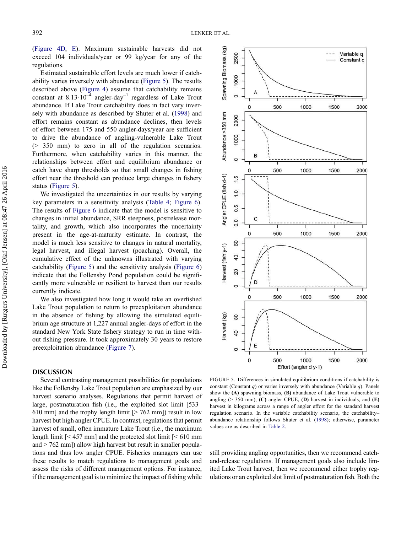[\(Figure 4D,](#page-6-1) [E\)](#page-6-1). Maximum sustainable harvests did not exceed 104 individuals/year or 99 kg/year for any of the regulations.

Estimated sustainable effort levels are much lower if catchability varies inversely with abundance ([Figure 5\)](#page-7-0). The results described above ([Figure 4](#page-6-1)) assume that catchability remains constant at  $8.13 \cdot 10^{-4}$  angler-day<sup>-1</sup> regardless of Lake Trout abundance. If Lake Trout catchability does in fact vary inversely with abundance as described by Shuter et al. ([1998\)](#page-12-11) and effort remains constant as abundance declines, then levels of effort between 175 and 550 angler-days/year are sufficient to drive the abundance of angling-vulnerable Lake Trout (> 350 mm) to zero in all of the regulation scenarios. Furthermore, when catchability varies in this manner, the relationships between effort and equilibrium abundance or catch have sharp thresholds so that small changes in fishing effort near the threshold can produce large changes in fishery status [\(Figure 5\)](#page-7-0).

We investigated the uncertainties in our results by varying key parameters in a sensitivity analysis [\(Table 4;](#page-8-0) [Figure 6](#page-9-0)). The results of [Figure 6](#page-9-0) indicate that the model is sensitive to changes in initial abundance, SRR steepness, postrelease mortality, and growth, which also incorporates the uncertainty present in the age-at-maturity estimate. In contrast, the model is much less sensitive to changes in natural mortality, legal harvest, and illegal harvest (poaching). Overall, the cumulative effect of the unknowns illustrated with varying catchability ([Figure 5\)](#page-7-0) and the sensitivity analysis ([Figure 6\)](#page-9-0) indicate that the Follensby Pond population could be significantly more vulnerable or resilient to harvest than our results currently indicate.

We also investigated how long it would take an overfished Lake Trout population to return to preexploitation abundance in the absence of fishing by allowing the simulated equilibrium age structure at 1,227 annual angler-days of effort in the standard New York State fishery strategy to run in time without fishing pressure. It took approximately 30 years to restore preexploitation abundance [\(Figure 7\)](#page-9-1).

#### DISCUSSION

Several contrasting management possibilities for populations like the Follensby Lake Trout population are emphasized by our harvest scenario analyses. Regulations that permit harvest of large, postmaturation fish (i.e., the exploited slot limit [533– 610 mm] and the trophy length limit [> 762 mm]) result in low harvest but high angler CPUE. In contrast, regulations that permit harvest of small, often immature Lake Trout (i.e., the maximum length limit [< 457 mm] and the protected slot limit [< 610 mm and > 762 mm]) allow high harvest but result in smaller populations and thus low angler CPUE. Fisheries managers can use these results to match regulations to management goals and assess the risks of different management options. For instance, if the management goal is to minimize the impact of fishing while



<span id="page-7-0"></span>FIGURE 5. Differences in simulated equilibrium conditions if catchability is constant (Constant q) or varies inversely with abundance (Variable q). Panels show the (A) spawning biomass, (B) abundance of Lake Trout vulnerable to angling ( $> 350$  mm), (C) angler CPUE, (D) harvest in individuals, and (E) harvest in kilograms across a range of angler effort for the standard harvest regulation scenario. In the variable catchability scenario, the catchability– abundance relationship follows Shuter et al. ([1998\)](#page-12-11); otherwise, parameter values are as described in [Table 2](#page-3-0).

still providing angling opportunities, then we recommend catchand-release regulations. If management goals also include limited Lake Trout harvest, then we recommend either trophy regulations or an exploited slot limit of postmaturation fish. Both the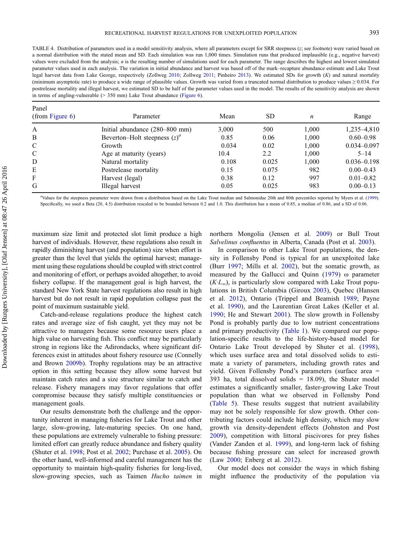<span id="page-8-0"></span>TABLE 4. Distribution of parameters used in a model sensitivity analysis, where all parameters except for SRR steepness (z; see footnote) were varied based on a normal distribution with the stated mean and SD. Each simulation was run 1,000 times. Simulation runs that produced implausible (e.g., negative harvest) values were excluded from the analysis; n is the resulting number of simulations used for each parameter. The range describes the highest and lowest simulated parameter values used in each analysis. The variation in initial abundance and harvest was based off of the mark–recapture abundance estimate and Lake Trout legal harvest data from Lake George, respectively (Zollweg [2010;](#page-12-13) Zollweg [2011](#page-12-14); Pinheiro [2013\)](#page-12-15). We estimated SDs for growth (K) and natural mortality (minimum asymptotic rate) to produce a wide range of plausible values. Growth was varied from a truncated normal distribution to produce values  $\geq 0.034$ . For postrelease mortality and illegal harvest, we estimated SD to be half of the parameter values used in the model. The results of the sensitivity analysis are shown in terms of angling-vulnerable (> 350 mm) Lake Trout abundance [\(Figure 6\)](#page-9-0).

| Panel<br>(from Figure 6) | Parameter                        | Mean  | <b>SD</b> | n     | Range           |
|--------------------------|----------------------------------|-------|-----------|-------|-----------------|
| A                        | Initial abundance $(280-800$ mm) | 3,000 | 500       | 1,000 | 1,235-4,810     |
| B                        | Beverton-Holt steepness $(z)^a$  | 0.85  | 0.06      | 1,000 | $0.60 - 0.98$   |
| $\mathcal{C}$            | Growth                           | 0.034 | 0.02      | 1,000 | $0.034 - 0.097$ |
| $\mathcal{C}$            | Age at maturity (years)          | 10.4  | 2.2       | 1,000 | $5 - 14$        |
| D                        | Natural mortality                | 0.108 | 0.025     | 1,000 | $0.036 - 0.198$ |
| E                        | Postrelease mortality            | 0.15  | 0.075     | 982   | $0.00 - 0.43$   |
| $\mathbf F$              | Harvest (legal)                  | 0.38  | 0.12      | 997   | $0.01 - 0.82$   |
| G                        | Illegal harvest                  | 0.05  | 0.025     | 983   | $0.00 - 0.13$   |

a Values for the steepness parameter were drawn from a distribution based on the Lake Trout median and Salmonidae 20th and 80th percentiles reported by Myers et al. ([1999\)](#page-12-7). Specifically, we used a Beta (20, 4.5) distribution rescaled to be bounded between 0.2 and 1.0. This distribution has a mean of 0.85, a median of 0.86, and a SD of 0.06.

maximum size limit and protected slot limit produce a high harvest of individuals. However, these regulations also result in rapidly diminishing harvest (and population) size when effort is greater than the level that yields the optimal harvest; management using these regulations should be coupled with strict control and monitoring of effort, or perhaps avoided altogether, to avoid fishery collapse. If the management goal is high harvest, the standard New York State harvest regulations also result in high harvest but do not result in rapid population collapse past the point of maximum sustainable yield.

Catch-and-release regulations produce the highest catch rates and average size of fish caught, yet they may not be attractive to managers because some resource users place a high value on harvesting fish. This conflict may be particularly strong in regions like the Adirondacks, where significant differences exist in attitudes about fishery resource use (Connelly and Brown [2009b\)](#page-11-17). Trophy regulations may be an attractive option in this setting because they allow some harvest but maintain catch rates and a size structure similar to catch and release. Fishery managers may favor regulations that offer compromise because they satisfy multiple constituencies or management goals.

Our results demonstrate both the challenge and the opportunity inherent in managing fisheries for Lake Trout and other large, slow-growing, late-maturing species. On one hand, these populations are extremely vulnerable to fishing pressure: limited effort can greatly reduce abundance and fishery quality (Shuter et al. [1998](#page-12-11); Post et al. [2002;](#page-12-0) Purchase et al. [2005](#page-12-4)). On the other hand, well-informed and careful management has the opportunity to maintain high-quality fisheries for long-lived, slow-growing species, such as Taimen Hucho taimen in northern Mongolia (Jensen et al. [2009](#page-11-18)) or Bull Trout Salvelinus confluentus in Alberta, Canada (Post et al. [2003\)](#page-12-17).

In comparison to other Lake Trout populations, the density in Follensby Pond is typical for an unexploited lake (Burr [1997;](#page-11-19) Mills et al. [2002\)](#page-12-18), but the somatic growth, as measured by the Gallucci and Quinn ([1979\)](#page-11-20) ω parameter  $(K<sub>α</sub>)$ , is particularly slow compared with Lake Trout populations in British Columbia (Giroux [2003\)](#page-11-10), Quebec (Hansen et al. [2012](#page-11-12)), Ontario (Trippel and Beamish [1989;](#page-12-9) Payne et al. [1990](#page-12-10)), and the Laurentian Great Lakes (Keller et al. [1990](#page-11-8); He and Stewart [2001\)](#page-11-9). The slow growth in Follensby Pond is probably partly due to low nutrient concentrations and primary productivity ([Table 1\)](#page-1-0). We compared our population-specific results to the life-history-based model for Ontario Lake Trout developed by Shuter et al. ([1998](#page-12-11)), which uses surface area and total dissolved solids to estimate a variety of parameters, including growth rates and yield. Given Follensby Pond's parameters (surface area = 393 ha, total dissolved solids  $= 18.09$ ), the Shuter model estimates a significantly smaller, faster-growing Lake Trout population than what we observed in Follensby Pond [\(Table 5\)](#page-9-2). These results suggest that nutrient availability may not be solely responsible for slow growth. Other contributing factors could include high density, which may slow growth via density-dependent effects (Johnston and Post [2009](#page-11-21)), competition with littoral piscivores for prey fishes (Vander Zanden et al. [1999](#page-12-19)), and long-term lack of fishing because fishing pressure can select for increased growth (Law [2000;](#page-11-22) Enberg et al. [2012](#page-11-23)).

Our model does not consider the ways in which fishing might influence the productivity of the population via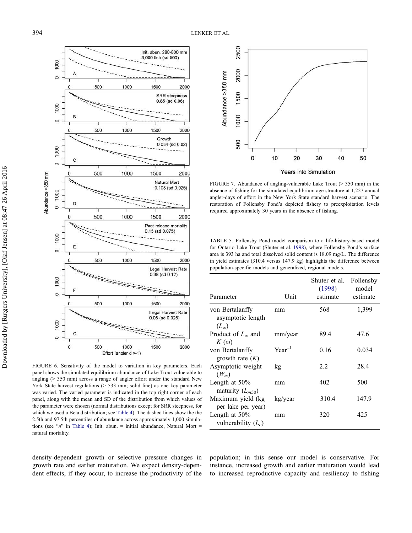

<span id="page-9-0"></span>FIGURE 6. Sensitivity of the model to variation in key parameters. Each panel shows the simulated equilibrium abundance of Lake Trout vulnerable to angling (> 350 mm) across a range of angler effort under the standard New York State harvest regulations (> 533 mm; solid line) as one key parameter was varied. The varied parameter is indicated in the top right corner of each panel, along with the mean and SD of the distribution from which values of the parameter were chosen (normal distributions except for SRR steepness, for which we used a Beta distribution; see [Table 4](#page-8-0)). The dashed lines show the the 2.5th and 97.5th percentiles of abundance across approximately 1,000 simula-tions (see "n" in [Table 4\)](#page-8-0); Init. abun. = initial abundance, Natural Mort = natural mortality.

density-dependent growth or selective pressure changes in growth rate and earlier maturation. We expect density-dependent effects, if they occur, to increase the productivity of the



<span id="page-9-1"></span>FIGURE 7. Abundance of angling-vulnerable Lake Trout (> 350 mm) in the absence of fishing for the simulated equilibrium age structure at 1,227 annual angler-days of effort in the New York State standard harvest scenario. The restoration of Follensby Pond's depleted fishery to preexploitation levels required approximately 30 years in the absence of fishing.

<span id="page-9-2"></span>TABLE 5. Follensby Pond model comparison to a life-history-based model for Ontario Lake Trout (Shuter et al. [1998](#page-12-11)), where Follensby Pond's surface area is 393 ha and total dissolved solid content is 18.09 mg/L. The difference in yield estimates (310.4 versus 147.9 kg) highlights the difference between population-specific models and generalized, regional models.

| Parameter                                              | Unit        | Shuter et al.<br>(1998)<br>estimate | Follensby<br>model<br>estimate |
|--------------------------------------------------------|-------------|-------------------------------------|--------------------------------|
| von Bertalanffy<br>asymptotic length<br>$(L_{\infty})$ | mm          | 568                                 | 1,399                          |
| Product of $L_{\infty}$ and<br>$K(\omega)$             | mm/year     | 89.4                                | 47.6                           |
| von Bertalanffy<br>growth rate $(K)$                   | $Year^{-1}$ | 0.16                                | 0.034                          |
| Asymptotic weight<br>$(W_{\infty})$                    | kg          | 2.2                                 | 28.4                           |
| Length at $50\%$<br>maturity $(L_{m50})$               | mm          | 402                                 | 500                            |
| Maximum yield (kg<br>per lake per year)                | kg/year     | 310.4                               | 147.9                          |
| Length at $50\%$<br>vulnerability $(L_c)$              | mm          | 320                                 | 425                            |

population; in this sense our model is conservative. For instance, increased growth and earlier maturation would lead to increased reproductive capacity and resiliency to fishing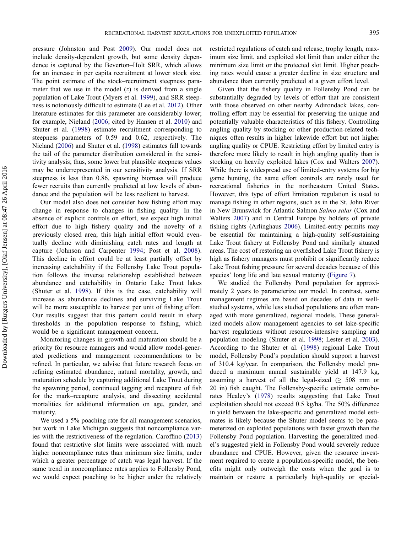pressure (Johnston and Post [2009](#page-11-21)). Our model does not include density-dependent growth, but some density dependence is captured by the Beverton–Holt SRR, which allows for an increase in per capita recruitment at lower stock size. The point estimate of the stock–recruitment steepness parameter that we use in the model  $(z)$  is derived from a single population of Lake Trout (Myers et al. [1999\)](#page-12-7), and SRR steepness is notoriously difficult to estimate (Lee et al. [2012\)](#page-11-24). Other literature estimates for this parameter are considerably lower; for example, Nieland ([2006;](#page-12-20) cited by Hansen et al. [2010](#page-11-25)) and Shuter et al. ([1998\)](#page-12-11) estimate recruitment corresponding to steepness parameters of 0.59 and 0.62, respectively. The Nieland [\(2006](#page-12-20)) and Shuter et al. [\(1998](#page-12-11)) estimates fall towards the tail of the parameter distribution considered in the sensitivity analysis; thus, some lower but plausible steepness values may be underrepresented in our sensitivity analysis. If SRR steepness is less than 0.86, spawning biomass will produce fewer recruits than currently predicted at low levels of abundance and the population will be less resilient to harvest.

Our model also does not consider how fishing effort may change in response to changes in fishing quality. In the absence of explicit controls on effort, we expect high initial effort due to high fishery quality and the novelty of a previously closed area; this high initial effort would eventually decline with diminishing catch rates and length at capture (Johnson and Carpenter [1994;](#page-11-3) Post et al. [2008](#page-12-21)). This decline in effort could be at least partially offset by increasing catchability if the Follensby Lake Trout population follows the inverse relationship established between abundance and catchability in Ontario Lake Trout lakes (Shuter et al. [1998\)](#page-12-11). If this is the case, catchability will increase as abundance declines and surviving Lake Trout will be more susceptible to harvest per unit of fishing effort. Our results suggest that this pattern could result in sharp thresholds in the population response to fishing, which would be a significant management concern.

Monitoring changes in growth and maturation should be a priority for resource managers and would allow model-generated predictions and management recommendations to be refined. In particular, we advise that future research focus on refining estimated abundance, natural mortality, growth, and maturation schedule by capturing additional Lake Trout during the spawning period, continued tagging and recapture of fish for the mark–recapture analysis, and dissecting accidental mortalities for additional information on age, gender, and maturity.

We used a 5% poaching rate for all management scenarios, but work in Lake Michigan suggests that noncompliance varies with the restrictiveness of the regulation. Caroffino ([2013\)](#page-11-26) found that restrictive slot limits were associated with much higher noncompliance rates than minimum size limits, under which a greater percentage of catch was legal harvest. If the same trend in noncompliance rates applies to Follensby Pond, we would expect poaching to be higher under the relatively restricted regulations of catch and release, trophy length, maximum size limit, and exploited slot limit than under either the minimum size limit or the protected slot limit. Higher poaching rates would cause a greater decline in size structure and abundance than currently predicted at a given effort level.

Given that the fishery quality in Follensby Pond can be substantially degraded by levels of effort that are consistent with those observed on other nearby Adirondack lakes, controlling effort may be essential for preserving the unique and potentially valuable characteristics of this fishery. Controlling angling quality by stocking or other production-related techniques often results in higher lakewide effort but not higher angling quality or CPUE. Restricting effort by limited entry is therefore more likely to result in high angling quality than is stocking on heavily exploited lakes (Cox and Walters [2007](#page-11-27)). While there is widespread use of limited-entry systems for big game hunting, the same effort controls are rarely used for recreational fisheries in the northeastern United States. However, this type of effort limitation regulation is used to manage fishing in other regions, such as in the St. John River in New Brunswick for Atlantic Salmon Salmo salar (Cox and Walters [2007](#page-11-27)) and in Central Europe by holders of private fishing rights (Arlinghaus [2006\)](#page-11-28). Limited-entry permits may be essential for maintaining a high-quality self-sustaining Lake Trout fishery at Follensby Pond and similarly situated areas. The cost of restoring an overfished Lake Trout fishery is high as fishery managers must prohibit or significantly reduce Lake Trout fishing pressure for several decades because of this species' long life and late sexual maturity [\(Figure 7](#page-9-1)).

We studied the Follensby Pond population for approximately 2 years to parameterize our model. In contrast, some management regimes are based on decades of data in wellstudied systems, while less studied populations are often managed with more generalized, regional models. These generalized models allow management agencies to set lake-specific harvest regulations without resource-intensive sampling and population modeling (Shuter et al. [1998](#page-12-11); Lester et al. [2003](#page-11-29)). According to the Shuter et al. ([1998\)](#page-12-11) regional Lake Trout model, Follensby Pond's population should support a harvest of 310.4 kg/year. In comparison, the Follensby model produced a maximum annual sustainable yield at 147.9 kg, assuming a harvest of all the legal-sized ( $\geq$  508 mm or 20 in) fish caught. The Follensby-specific estimate corroborates Healey's [\(1978](#page-11-30)) results suggesting that Lake Trout exploitation should not exceed 0.5 kg/ha. The 50% difference in yield between the lake-specific and generalized model estimates is likely because the Shuter model seems to be parameterized on exploited populations with faster growth than the Follensby Pond population. Harvesting the generalized model's suggested yield in Follensby Pond would severely reduce abundance and CPUE. However, given the resource investment required to create a population-specific model, the benefits might only outweigh the costs when the goal is to maintain or restore a particularly high-quality or special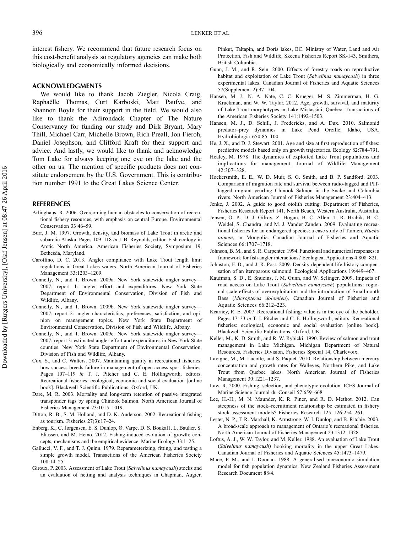interest fishery. We recommend that future research focus on this cost-benefit analysis so regulatory agencies can make both biologically and economically informed decisions.

#### ACKNOWLEDGMENTS

We would like to thank Jacob Ziegler, Nicola Craig, Raphaëlle Thomas, Curt Karboski, Matt Paufve, and Shannon Boyle for their support in the field. We would also like to thank the Adirondack Chapter of The Nature Conservancy for funding our study and Dirk Bryant, Mary Thill, Michael Carr, Michelle Brown, Rich Preall, Jon Fieroh, Daniel Josephson, and Clifford Kraft for their support and advice. And lastly, we would like to thank and acknowledge Tom Lake for always keeping one eye on the lake and the other on us. The mention of specific products does not constitute endorsement by the U.S. Government. This is contribution number 1991 to the Great Lakes Science Center.

#### REFERENCES

- <span id="page-11-28"></span>Arlinghaus, R. 2006. Overcoming human obstacles to conservation of recreational fishery resources, with emphasis on central Europe. Environmental Conservation 33:46–59.
- <span id="page-11-19"></span>Burr, J. M. 1997. Growth, density, and biomass of Lake Trout in arctic and subarctic Alaska. Pages 109-118 in J. B. Reynolds, editor. Fish ecology in Arctic North America. American Fisheries Society, Symposium 19, Bethesda, Maryland.
- <span id="page-11-26"></span>Caroffino, D. C. 2013. Angler compliance with Lake Trout length limit regulations in Great Lakes waters. North American Journal of Fisheries Management 33:1203–1209.
- <span id="page-11-1"></span>Connelly, N., and T. Brown. 2009a. New York statewide angler survey— 2007; report 1: angler effort and expenditures. New York State Department of Environmental Conservation, Division of Fish and Wildlife, Albany.
- <span id="page-11-17"></span>Connelly, N., and T. Brown. 2009b. New York statewide angler survey— 2007; report 2: angler characteristics, preferences, satisfaction, and opinion on management topics. New York State Department of Environmental Conservation, Division of Fish and Wildlife, Albany.
- <span id="page-11-14"></span>Connelly, N., and T. Brown. 2009c. New York statewide angler survey— 2007; report 3: estimated angler effort and expenditures in New York State counties. New York State Department of Environmental Conservation, Division of Fish and Wildlife, Albany.
- <span id="page-11-27"></span>Cox, S., and C. Walters. 2007. Maintaining quality in recreational fisheries: how success breeds failure in management of open-access sport fisheries. Pages 107-119 in T. J. Pitcher and C. E. Hollingworth, editors. Recreational fisheries: ecological, economic and social evaluation [online book]. Blackwell Scientific Publications, Oxford, UK.
- <span id="page-11-15"></span>Dare, M. R. 2003. Mortality and long-term retention of passive integrated transponder tags by spring Chinook Salmon. North American Journal of Fisheries Management 23:1015–1019.
- <span id="page-11-0"></span>Ditton, R. B., S. M. Holland, and D. K. Anderson. 2002. Recreational fishing as tourism. Fisheries 27(3):17–24.
- <span id="page-11-23"></span>Enberg, K., C. Jørgensen, E. S. Dunlop, Ø. Varpe, D. S. Boukal1, L. Baulier, S. Eliassen, and M. Heino. 2012. Fishing-induced evolution of growth: concepts, mechanisms and the empirical evidence. Marine Ecology 33:1–25.
- <span id="page-11-20"></span>Gallucci, V. F., and T. J. Quinn. 1979. Reparameterizing, fitting, and testing a simple growth model. Transactions of the American Fisheries Society 108:14–25.
- <span id="page-11-10"></span>Giroux, P. 2003. Assessment of Lake Trout (Salvelinus namaycush) stocks and an evaluation of netting and analysis techniques in Chapman, Augier,

Pinkut, Taltapin, and Doris lakes, BC. Ministry of Water, Land and Air Protection, Fish and Wildlife, Skeena Fisheries Report SK-143, Smithers, British Columbia.

- <span id="page-11-4"></span>Gunn, J. M., and R. Sein. 2000. Effects of forestry roads on reproductive habitat and exploitation of Lake Trout (Salvelinus namaycush) in three experimental lakes. Canadian Journal of Fisheries and Aquatic Sciences 57(Supplement 2):97–104.
- <span id="page-11-12"></span>Hansen, M. J., N. A. Nate, C. C. Krueger, M. S. Zimmerman, H. G. Kruckman, and W. W. Taylor. 2012. Age, growth, survival, and maturity of Lake Trout morphotypes in Lake Mistassini, Quebec. Transactions of the American Fisheries Society 141:1492–1503.
- <span id="page-11-25"></span>Hansen, M. J., D. Schill, J. Fredericks, and A. Dux. 2010. Salmonid predator–prey dynamics in Lake Pend Oreille, Idaho, USA. Hydrobiologia 650:85–100.
- <span id="page-11-9"></span>He, J. X., and D. J. Stewart. 2001. Age and size at first reproduction of fishes: predictive models based only on growth trajectories. Ecology 82:784–791.
- <span id="page-11-30"></span>Healey, M. 1978. The dynamics of exploited Lake Trout populations and implications for management. Journal of Wildlife Management 42:307–328.
- <span id="page-11-16"></span>Hockersmith, E. E., W. D. Muir, S. G. Smith, and B. P. Sandford. 2003. Comparison of migration rate and survival between radio-tagged and PITtagged migrant yearling Chinook Salmon in the Snake and Columbia rivers. North American Journal of Fisheries Management 23:404–413.
- <span id="page-11-6"></span>Jenke, J. 2002. A guide to good otolith cutting. Department of Fisheries, Fisheries Research Report 141, North Beach, Western Australia, Australia.
- <span id="page-11-18"></span>Jensen, O. P., D. J. Gilroy, Z. Hogan, B. C. Allen, T. R. Hrabik, B. C. Weidel, S. Chandra, and M. J. Vander Zanden. 2009. Evaluating recreational fisheries for an endangered species: a case study of Taimen, Hucho taimen, in Mongolia. Canadian Journal of Fisheries and Aquatic Sciences 66:1707–1718.
- <span id="page-11-3"></span>Johnson, B. M., and S. R. Carpenter. 1994. Functional and numerical responses: a framework for fish-angler interactions? Ecological Applications 4:808–821.
- <span id="page-11-21"></span>Johnston, F. D., and J. R. Post. 2009. Density-dependent life-history compensation of an iteroparous salmonid. Ecological Applications 19:449–467.
- <span id="page-11-5"></span>Kaufman, S. D., E. Snucins, J. M. Gunn, and W. Selinger. 2009. Impacts of road access on Lake Trout (Salvelinus namaycush) populations: regional scale effects of overexploitation and the introduction of Smallmouth Bass (Micropterus dolomieu). Canadian Journal of Fisheries and Aquatic Sciences 66:212–223.
- <span id="page-11-2"></span>Kearney, R. E. 2007. Recreational fishing: value is in the eye of the beholder. Pages 17–33 in T. J. Pitcher and C. E. Hollingworth, editors. Recreational fisheries: ecological, economic and social evaluation [online book]. Blackwell Scientific Publications, Oxford, UK.
- <span id="page-11-8"></span>Keller, M., K. D. Smith, and R. W. Rybicki. 1990. Review of salmon and trout management in Lake Michigan. Michigan Department of Natural Resources, Fisheries Division, Fisheries Special 14, Charlevoix.
- <span id="page-11-11"></span>Lavigne, M., M. Lucotte, and S. Paquet. 2010. Relationship between mercury concentration and growth rates for Walleyes, Northern Pike, and Lake Trout from Quebec lakes. North American Journal of Fisheries Management 30:1221–1237.
- <span id="page-11-22"></span>Law, R. 2000. Fishing, selection, and phenotypic evolution. ICES Journal of Marine Science Journal du Conseil 57:659–668.
- <span id="page-11-24"></span>Lee, H.-H., M. N. Maunder, K. R. Piner, and R. D. Methot. 2012. Can steepness of the stock–recruitment relationship be estimated in fishery stock assessment models? Fisheries Research 125–126:254–261.
- <span id="page-11-29"></span>Lester, N. P., T. R. Marshall, K. Armstrong, W. I. Dunlop, and B. Ritchie. 2003. A broad-scale approach to management of Ontario's recreational fisheries. North American Journal of Fisheries Management 23:1312–1328.
- <span id="page-11-13"></span>Loftus, A. J., W. W. Taylor, and M. Keller. 1988. An evaluation of Lake Trout (Salvelinus namaycush) hooking mortality in the upper Great Lakes. Canadian Journal of Fisheries and Aquatic Sciences 45:1473–1479.
- <span id="page-11-7"></span>Mace, P. M., and I. Doonan. 1988. A generalised bioeconomic simulation model for fish population dynamics. New Zealand Fisheries Assessment Research Document 88/4.